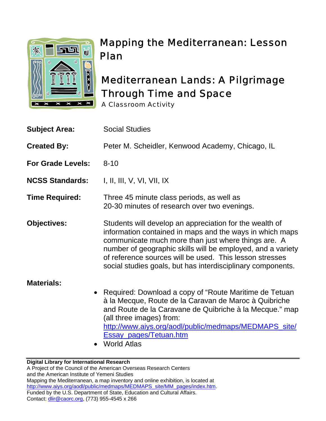

# Mapping the Mediterranean: Lesson Plan

# Mediterranean Lands: A Pilgrimage Through Time and Space

A Classroom Activity

| <b>Subject Area:</b>     | <b>Social Studies</b>                                                                                                                                                                                                                                                                                                                                               |
|--------------------------|---------------------------------------------------------------------------------------------------------------------------------------------------------------------------------------------------------------------------------------------------------------------------------------------------------------------------------------------------------------------|
| <b>Created By:</b>       | Peter M. Scheidler, Kenwood Academy, Chicago, IL                                                                                                                                                                                                                                                                                                                    |
| <b>For Grade Levels:</b> | $8 - 10$                                                                                                                                                                                                                                                                                                                                                            |
| <b>NCSS Standards:</b>   | I, II, III, V, VI, VII, IX                                                                                                                                                                                                                                                                                                                                          |
| <b>Time Required:</b>    | Three 45 minute class periods, as well as<br>20-30 minutes of research over two evenings.                                                                                                                                                                                                                                                                           |
| <b>Objectives:</b>       | Students will develop an appreciation for the wealth of<br>information contained in maps and the ways in which maps<br>communicate much more than just where things are. A<br>number of geographic skills will be employed, and a variety<br>of reference sources will be used. This lesson stresses<br>social studies goals, but has interdisciplinary components. |
| <b>Materials:</b>        | • Required: Download a copy of "Route Maritime de Tetuan"<br>à la Mecque, Route de la Caravan de Maroc à Quibriche<br>and Route de la Caravane de Quibriche à la Mecque." map<br>(all three images) from:<br>http://www.aiys.org/aodl/public/medmaps/MEDMAPS_site/<br><b>Essay pages/Tetuan.htm</b><br>$M$ orld $M$ tloo                                            |

• World Atlas

#### **Digital Library for International Research**  A Project of the Council of the American Overseas Research Centers and the American Institute of Yemeni Studies Mapping the Mediterranean, a map inventory and online exhibition, is located at http://www.aiys.org/aodl/public/medmaps/MEDMAPS\_site/MM\_pages/index.htm. Funded by the U.S. Department of State, Education and Cultural Affairs. Contact: dlir@caorc.org, (773) 955-4545 x 266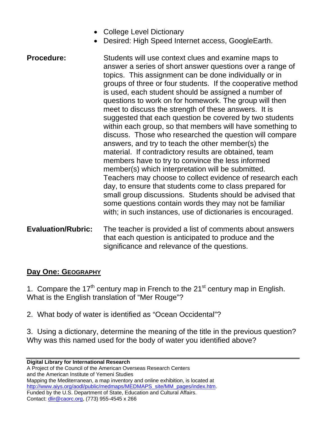- College Level Dictionary
- Desired: High Speed Internet access, GoogleEarth.
- **Procedure:** Students will use context clues and examine maps to answer a series of short answer questions over a range of topics. This assignment can be done individually or in groups of three or four students. If the cooperative method is used, each student should be assigned a number of questions to work on for homework. The group will then meet to discuss the strength of these answers. It is suggested that each question be covered by two students within each group, so that members will have something to discuss. Those who researched the question will compare answers, and try to teach the other member(s) the material. If contradictory results are obtained, team members have to try to convince the less informed member(s) which interpretation will be submitted. Teachers may choose to collect evidence of research each day, to ensure that students come to class prepared for small group discussions. Students should be advised that some questions contain words they may not be familiar with; in such instances, use of dictionaries is encouraged.
- **Evaluation/Rubric:** The teacher is provided a list of comments about answers that each question is anticipated to produce and the significance and relevance of the questions.

### **Day One: GEOGRAPHY**

1. Compare the  $17<sup>th</sup>$  century map in French to the  $21<sup>st</sup>$  century map in English. What is the English translation of "Mer Rouge"?

2. What body of water is identified as "Ocean Occidental"?

3. Using a dictionary, determine the meaning of the title in the previous question? Why was this named used for the body of water you identified above?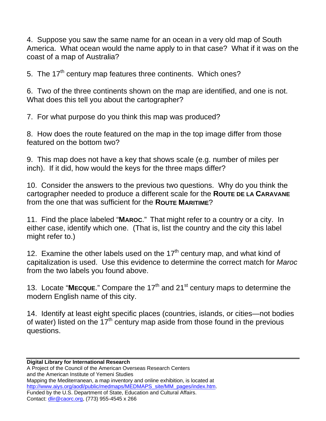4. Suppose you saw the same name for an ocean in a very old map of South America. What ocean would the name apply to in that case? What if it was on the coast of a map of Australia?

5. The  $17<sup>th</sup>$  century map features three continents. Which ones?

6. Two of the three continents shown on the map are identified, and one is not. What does this tell you about the cartographer?

7. For what purpose do you think this map was produced?

8. How does the route featured on the map in the top image differ from those featured on the bottom two?

9. This map does not have a key that shows scale (e.g. number of miles per inch). If it did, how would the keys for the three maps differ?

10. Consider the answers to the previous two questions. Why do you think the cartographer needed to produce a different scale for the **ROUTE DE LA CARAVANE** from the one that was sufficient for the **ROUTE MARITIME**?

11. Find the place labeled "**MAROC**." That might refer to a country or a city. In either case, identify which one. (That is, list the country and the city this label might refer to.)

12. Examine the other labels used on the  $17<sup>th</sup>$  century map, and what kind of capitalization is used. Use this evidence to determine the correct match for *Maroc* from the two labels you found above.

13. Locate "MECQUE." Compare the 17<sup>th</sup> and 21<sup>st</sup> century maps to determine the modern English name of this city.

14. Identify at least eight specific places (countries, islands, or cities—not bodies of water) listed on the  $17<sup>th</sup>$  century map aside from those found in the previous questions.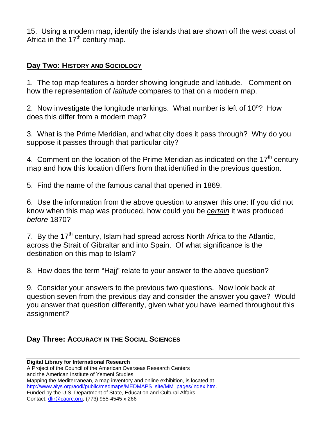15. Using a modern map, identify the islands that are shown off the west coast of Africa in the  $17<sup>th</sup>$  century map.

### **Day Two: HISTORY AND SOCIOLOGY**

1. The top map features a border showing longitude and latitude. Comment on how the representation of *latitude* compares to that on a modern map.

2. Now investigate the longitude markings. What number is left of 10º? How does this differ from a modern map?

3. What is the Prime Meridian, and what city does it pass through? Why do you suppose it passes through that particular city?

4. Comment on the location of the Prime Meridian as indicated on the  $17<sup>th</sup>$  century map and how this location differs from that identified in the previous question.

5. Find the name of the famous canal that opened in 1869.

6. Use the information from the above question to answer this one: If you did not know when this map was produced, how could you be *certain* it was produced *before* 1870?

7. By the  $17<sup>th</sup>$  century, Islam had spread across North Africa to the Atlantic, across the Strait of Gibraltar and into Spain. Of what significance is the destination on this map to Islam?

8. How does the term "Hajj" relate to your answer to the above question?

9. Consider your answers to the previous two questions. Now look back at question seven from the previous day and consider the answer you gave? Would you answer that question differently, given what you have learned throughout this assignment?

## **Day Three: ACCURACY IN THE SOCIAL SCIENCES**

**Digital Library for International Research**  A Project of the Council of the American Overseas Research Centers and the American Institute of Yemeni Studies Mapping the Mediterranean, a map inventory and online exhibition, is located at http://www.aiys.org/aodl/public/medmaps/MEDMAPS\_site/MM\_pages/index.htm. Funded by the U.S. Department of State, Education and Cultural Affairs. Contact: dlir@caorc.org, (773) 955-4545 x 266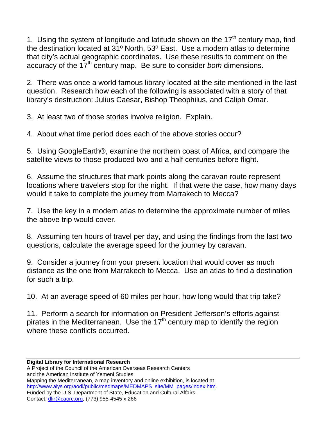1. Using the system of longitude and latitude shown on the  $17<sup>th</sup>$  century map, find the destination located at 31º North, 53º East. Use a modern atlas to determine that city's actual geographic coordinates. Use these results to comment on the accuracy of the 17th century map. Be sure to consider *both* dimensions.

2. There was once a world famous library located at the site mentioned in the last question. Research how each of the following is associated with a story of that library's destruction: Julius Caesar, Bishop Theophilus, and Caliph Omar.

3. At least two of those stories involve religion. Explain.

4. About what time period does each of the above stories occur?

5. Using GoogleEarth®, examine the northern coast of Africa, and compare the satellite views to those produced two and a half centuries before flight.

6. Assume the structures that mark points along the caravan route represent locations where travelers stop for the night. If that were the case, how many days would it take to complete the journey from Marrakech to Mecca?

7. Use the key in a modern atlas to determine the approximate number of miles the above trip would cover.

8. Assuming ten hours of travel per day, and using the findings from the last two questions, calculate the average speed for the journey by caravan.

9. Consider a journey from your present location that would cover as much distance as the one from Marrakech to Mecca. Use an atlas to find a destination for such a trip.

10. At an average speed of 60 miles per hour, how long would that trip take?

11. Perform a search for information on President Jefferson's efforts against pirates in the Mediterranean. Use the  $17<sup>th</sup>$  century map to identify the region where these conflicts occurred.

#### **Digital Library for International Research**  A Project of the Council of the American Overseas Research Centers and the American Institute of Yemeni Studies Mapping the Mediterranean, a map inventory and online exhibition, is located at http://www.aiys.org/aodl/public/medmaps/MEDMAPS\_site/MM\_pages/index.htm. Funded by the U.S. Department of State, Education and Cultural Affairs. Contact: dlir@caorc.org, (773) 955-4545 x 266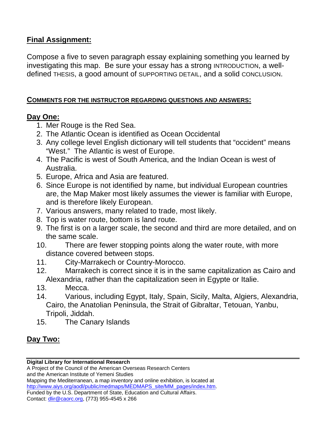### **Final Assignment:**

Compose a five to seven paragraph essay explaining something you learned by investigating this map. Be sure your essay has a strong INTRODUCTION, a welldefined THESIS, a good amount of SUPPORTING DETAIL, and a solid CONCLUSION.

#### **COMMENTS FOR THE INSTRUCTOR REGARDING QUESTIONS AND ANSWERS:**

#### **Day One:**

- 1. Mer Rouge is the Red Sea.
- 2. The Atlantic Ocean is identified as Ocean Occidental
- 3. Any college level English dictionary will tell students that "occident" means "West." The Atlantic is west of Europe.
- 4. The Pacific is west of South America, and the Indian Ocean is west of Australia.
- 5. Europe, Africa and Asia are featured.
- 6. Since Europe is not identified by name, but individual European countries are, the Map Maker most likely assumes the viewer is familiar with Europe, and is therefore likely European.
- 7. Various answers, many related to trade, most likely.
- 8. Top is water route, bottom is land route.
- 9. The first is on a larger scale, the second and third are more detailed, and on the same scale.
- 10. There are fewer stopping points along the water route, with more distance covered between stops.
- 11. City-Marrakech or Country-Morocco.
- 12. Marrakech is correct since it is in the same capitalization as Cairo and Alexandria, rather than the capitalization seen in Egypte or Italie.
- 13. Mecca.
- 14. Various, including Egypt, Italy, Spain, Sicily, Malta, Algiers, Alexandria, Cairo, the Anatolian Peninsula, the Strait of Gibraltar, Tetouan, Yanbu, Tripoli, Jiddah.
- 15. The Canary Islands

## **Day Two:**

#### **Digital Library for International Research**

A Project of the Council of the American Overseas Research Centers and the American Institute of Yemeni Studies Mapping the Mediterranean, a map inventory and online exhibition, is located at http://www.aiys.org/aodl/public/medmaps/MEDMAPS\_site/MM\_pages/index.htm. Funded by the U.S. Department of State, Education and Cultural Affairs. Contact: dlir@caorc.org, (773) 955-4545 x 266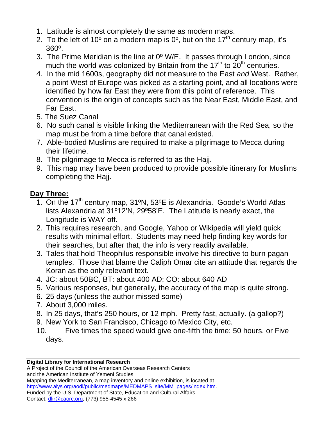- 1. Latitude is almost completely the same as modern maps.
- 2. To the left of 10 $^{\circ}$  on a modern map is 0 $^{\circ}$ , but on the 17<sup>th</sup> century map, it's 360º.
- 3. The Prime Meridian is the line at 0º W/E. It passes through London, since much the world was colonized by Britain from the  $17<sup>th</sup>$  to  $20<sup>th</sup>$  centuries.
- 4. In the mid 1600s, geography did not measure to the East *and* West. Rather, a point West of Europe was picked as a starting point, and all locations were identified by how far East they were from this point of reference. This convention is the origin of concepts such as the Near East, Middle East, and Far East.
- 5.The Suez Canal
- 6. No such canal is visible linking the Mediterranean with the Red Sea, so the map must be from a time before that canal existed.
- 7. Able-bodied Muslims are required to make a pilgrimage to Mecca during their lifetime.
- 8. The pilgrimage to Mecca is referred to as the Hajj.
- 9. This map may have been produced to provide possible itinerary for Muslims completing the Hajj.

# **Day Three:**

- 1. On the  $17<sup>th</sup>$  century map,  $31<sup>o</sup>N$ ,  $53<sup>o</sup>E$  is Alexandria. Goode's World Atlas lists Alexandria at 31º12'N, 29º58'E. The Latitude is nearly exact, the Longitude is WAY off.
- 2. This requires research, and Google, Yahoo or Wikipedia will yield quick results with minimal effort. Students may need help finding key words for their searches, but after that, the info is very readily available.
- 3. Tales that hold Theophilus responsible involve his directive to burn pagan temples. Those that blame the Caliph Omar cite an attitude that regards the Koran as the only relevant text.
- 4. JC: about 50BC, BT: about 400 AD; CO: about 640 AD
- 5. Various responses, but generally, the accuracy of the map is quite strong.
- 6. 25 days (unless the author missed some)
- 7. About 3,000 miles.
- 8. In 25 days, that's 250 hours, or 12 mph. Pretty fast, actually. (a gallop?)
- 9. New York to San Francisco, Chicago to Mexico City, etc.
- 10. Five times the speed would give one-fifth the time: 50 hours, or Five days.

#### **Digital Library for International Research**

A Project of the Council of the American Overseas Research Centers and the American Institute of Yemeni Studies Mapping the Mediterranean, a map inventory and online exhibition, is located at http://www.aiys.org/aodl/public/medmaps/MEDMAPS\_site/MM\_pages/index.htm. Funded by the U.S. Department of State, Education and Cultural Affairs. Contact: dlir@caorc.org, (773) 955-4545 x 266